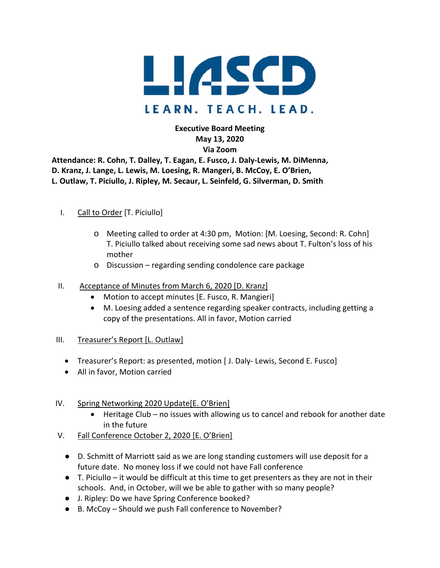

**Executive Board Meeting May 13, 2020 Via Zoom**

**Attendance: R. Cohn, T. Dalley, T. Eagan, E. Fusco, J. Daly-Lewis, M. DiMenna, D. Kranz, J. Lange, L. Lewis, M. Loesing, R. Mangeri, B. McCoy, E. O'Brien, L. Outlaw, T. Piciullo, J. Ripley, M. Secaur, L. Seinfeld, G. Silverman, D. Smith**

## I. Call to Order [T. Piciullo]

- o Meeting called to order at 4:30 pm, Motion: [M. Loesing, Second: R. Cohn] T. Piciullo talked about receiving some sad news about T. Fulton's loss of his mother
- o Discussion regarding sending condolence care package

### II. Acceptance of Minutes from March 6, 2020 [D. Kranz]

- Motion to accept minutes [E. Fusco, R. Mangieri]
- M. Loesing added a sentence regarding speaker contracts, including getting a copy of the presentations. All in favor, Motion carried

### III. Treasurer's Report [L. Outlaw]

- Treasurer's Report: as presented, motion [ J. Daly- Lewis, Second E. Fusco]
- All in favor, Motion carried

### IV. Spring Networking 2020 Update[E. O'Brien]

- Heritage Club no issues with allowing us to cancel and rebook for another date in the future
- V. Fall Conference October 2, 2020 [E. O'Brien]
	- D. Schmitt of Marriott said as we are long standing customers will use deposit for a future date. No money loss if we could not have Fall conference
	- $\bullet$  T. Piciullo it would be difficult at this time to get presenters as they are not in their schools. And, in October, will we be able to gather with so many people?
	- J. Ripley: Do we have Spring Conference booked?
	- B. McCoy Should we push Fall conference to November?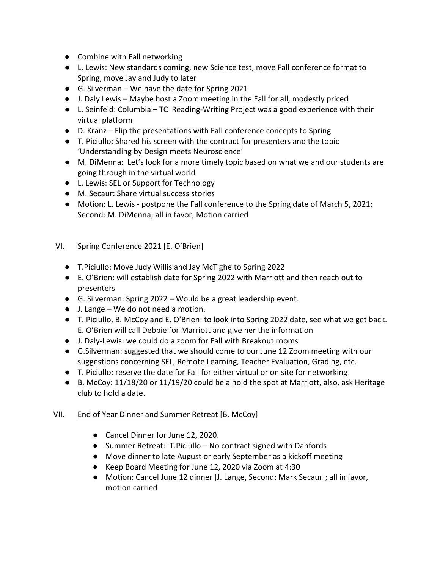- Combine with Fall networking
- L. Lewis: New standards coming, new Science test, move Fall conference format to Spring, move Jay and Judy to later
- $\bullet$  G. Silverman We have the date for Spring 2021
- J. Daly Lewis Maybe host a Zoom meeting in the Fall for all, modestly priced
- L. Seinfeld: Columbia TC Reading-Writing Project was a good experience with their virtual platform
- D. Kranz Flip the presentations with Fall conference concepts to Spring
- T. Piciullo: Shared his screen with the contract for presenters and the topic 'Understanding by Design meets Neuroscience'
- M. DiMenna: Let's look for a more timely topic based on what we and our students are going through in the virtual world
- L. Lewis: SEL or Support for Technology
- M. Secaur: Share virtual success stories
- Motion: L. Lewis postpone the Fall conference to the Spring date of March 5, 2021; Second: M. DiMenna; all in favor, Motion carried

# VI. Spring Conference 2021 [E. O'Brien]

- T.Piciullo: Move Judy Willis and Jay McTighe to Spring 2022
- E. O'Brien: will establish date for Spring 2022 with Marriott and then reach out to presenters
- G. Silverman: Spring 2022 Would be a great leadership event.
- J. Lange We do not need a motion.
- T. Piciullo, B. McCoy and E. O'Brien: to look into Spring 2022 date, see what we get back. E. O'Brien will call Debbie for Marriott and give her the information
- J. Daly-Lewis: we could do a zoom for Fall with Breakout rooms
- G.Silverman: suggested that we should come to our June 12 Zoom meeting with our suggestions concerning SEL, Remote Learning, Teacher Evaluation, Grading, etc.
- T. Piciullo: reserve the date for Fall for either virtual or on site for networking
- B. McCoy: 11/18/20 or 11/19/20 could be a hold the spot at Marriott, also, ask Heritage club to hold a date.

# VII. End of Year Dinner and Summer Retreat [B. McCoy]

- Cancel Dinner for June 12, 2020.
- Summer Retreat: T.Piciullo No contract signed with Danfords
- Move dinner to late August or early September as a kickoff meeting
- Keep Board Meeting for June 12, 2020 via Zoom at 4:30
- Motion: Cancel June 12 dinner [J. Lange, Second: Mark Secaur]; all in favor, motion carried